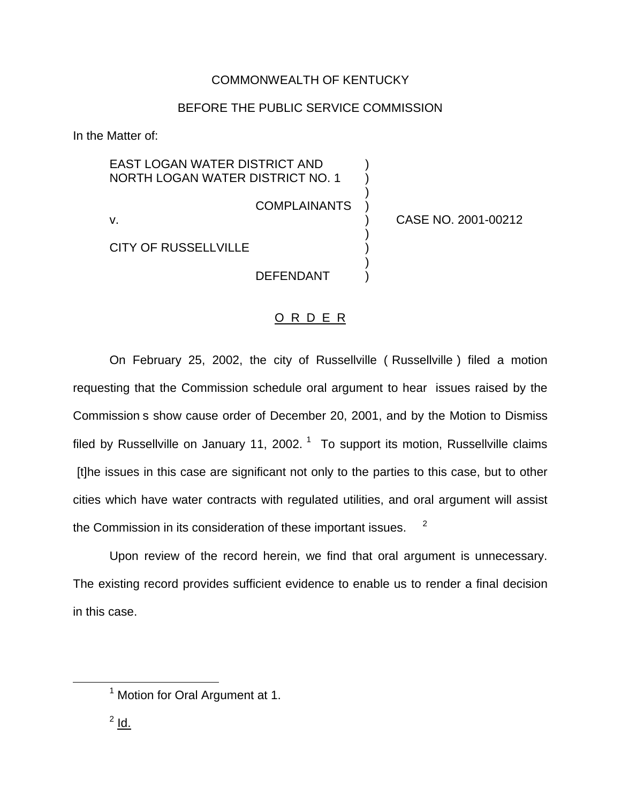## COMMONWEALTH OF KENTUCKY

## BEFORE THE PUBLIC SERVICE COMMISSION

In the Matter of:

EAST LOGAN WATER DISTRICT AND ) NORTH LOGAN WATER DISTRICT NO. 1 )

**COMPLAINANTS** 

)

)

)

v. ) CASE NO. 2001-00212

CITY OF RUSSELLVILLE )

**DEFENDANT** 

## O R D E R

On February 25, 2002, the city of Russellville ( Russellville ) filed a motion requesting that the Commission schedule oral argument to hear issues raised by the Commission s show cause order of December 20, 2001, and by the Motion to Dismiss filed by Russellville on January 11, 2002.  $1$  To support its motion, Russellville claims [t]he issues in this case are significant not only to the parties to this case, but to other cities which have water contracts with regulated utilities, and oral argument will assist the Commission in its consideration of these important issues. <sup>2</sup>

Upon review of the record herein, we find that oral argument is unnecessary. The existing record provides sufficient evidence to enable us to render a final decision in this case.

 $2$  Id.

<sup>&</sup>lt;sup>1</sup> Motion for Oral Argument at 1.